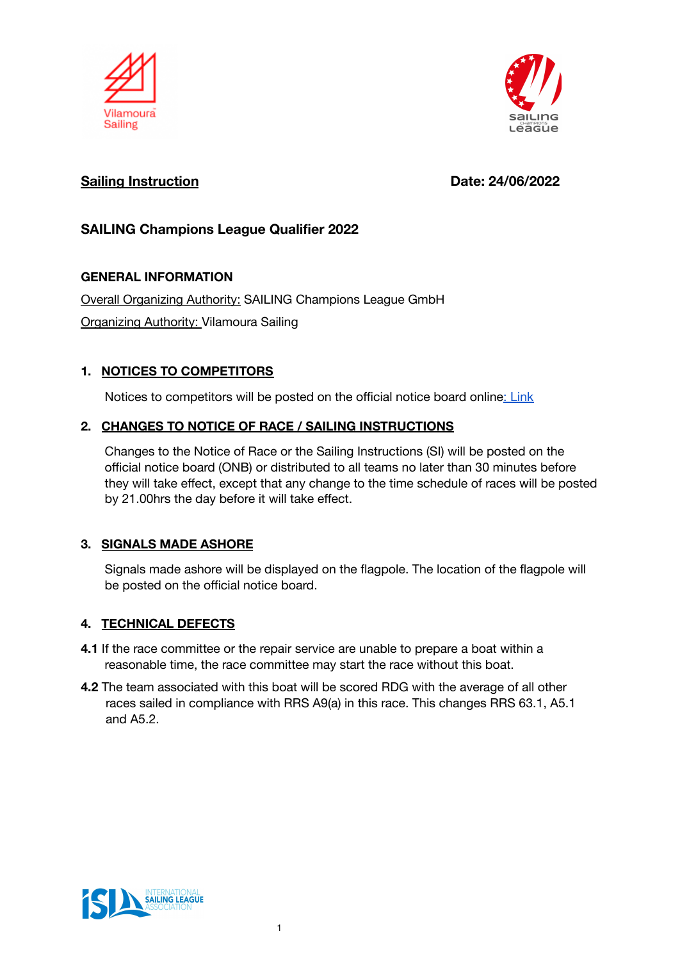



# **Sailing Instruction Date: 24/06/2022**

# **SAILING Champions League Qualifier 2022**

#### **GENERAL INFORMATION**

Overall Organizing Authority: SAILING Champions League GmbH Organizing Authority: Vilamoura Sailing

# **1. NOTICES TO COMPETITORS**

Notices to competitors will be posted on the official notice board online: [Link](https://www.vilamourasailing.com/sclpq2022)

# **2. CHANGES TO NOTICE OF RACE / SAILING INSTRUCTIONS**

Changes to the Notice of Race or the Sailing Instructions (SI) will be posted on the official notice board (ONB) or distributed to all teams no later than 30 minutes before they will take effect, except that any change to the time schedule of races will be posted by 21.00hrs the day before it will take effect.

## **3. SIGNALS MADE ASHORE**

Signals made ashore will be displayed on the flagpole. The location of the flagpole will be posted on the official notice board.

## **4. TECHNICAL DEFECTS**

- **4.1** If the race committee or the repair service are unable to prepare a boat within a reasonable time, the race committee may start the race without this boat.
- **4.2** The team associated with this boat will be scored RDG with the average of all other races sailed in compliance with RRS A9(a) in this race. This changes RRS 63.1, A5.1 and A5.2.

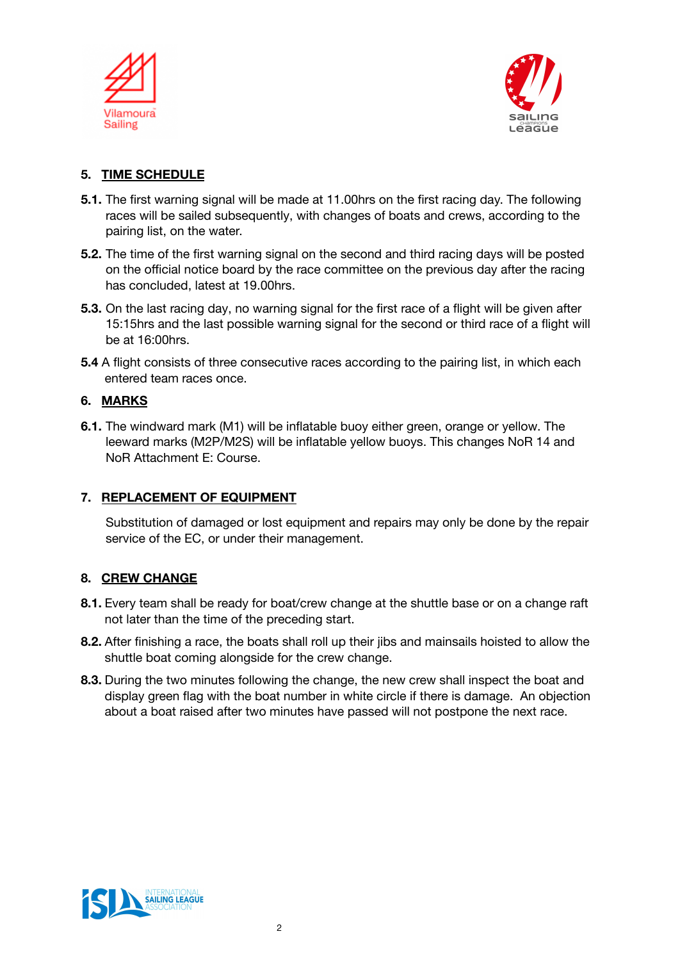



# **5. TIME SCHEDULE**

- **5.1.** The first warning signal will be made at 11.00hrs on the first racing day. The following races will be sailed subsequently, with changes of boats and crews, according to the pairing list, on the water.
- **5.2.** The time of the first warning signal on the second and third racing days will be posted on the official notice board by the race committee on the previous day after the racing has concluded, latest at 19.00hrs.
- **5.3.** On the last racing day, no warning signal for the first race of a flight will be given after 15:15hrs and the last possible warning signal for the second or third race of a flight will be at 16:00hrs.
- **5.4** A flight consists of three consecutive races according to the pairing list, in which each entered team races once.

#### **6. MARKS**

**6.1.** The windward mark (M1) will be inflatable buoy either green, orange or yellow. The leeward marks (M2P/M2S) will be inflatable yellow buoys. This changes NoR 14 and NoR Attachment E: Course.

#### **7. REPLACEMENT OF EQUIPMENT**

Substitution of damaged or lost equipment and repairs may only be done by the repair service of the EC, or under their management.

## **8. CREW CHANGE**

- **8.1.** Every team shall be ready for boat/crew change at the shuttle base or on a change raft not later than the time of the preceding start.
- **8.2.** After finishing a race, the boats shall roll up their jibs and mainsails hoisted to allow the shuttle boat coming alongside for the crew change.
- **8.3.** During the two minutes following the change, the new crew shall inspect the boat and display green flag with the boat number in white circle if there is damage. An objection about a boat raised after two minutes have passed will not postpone the next race.

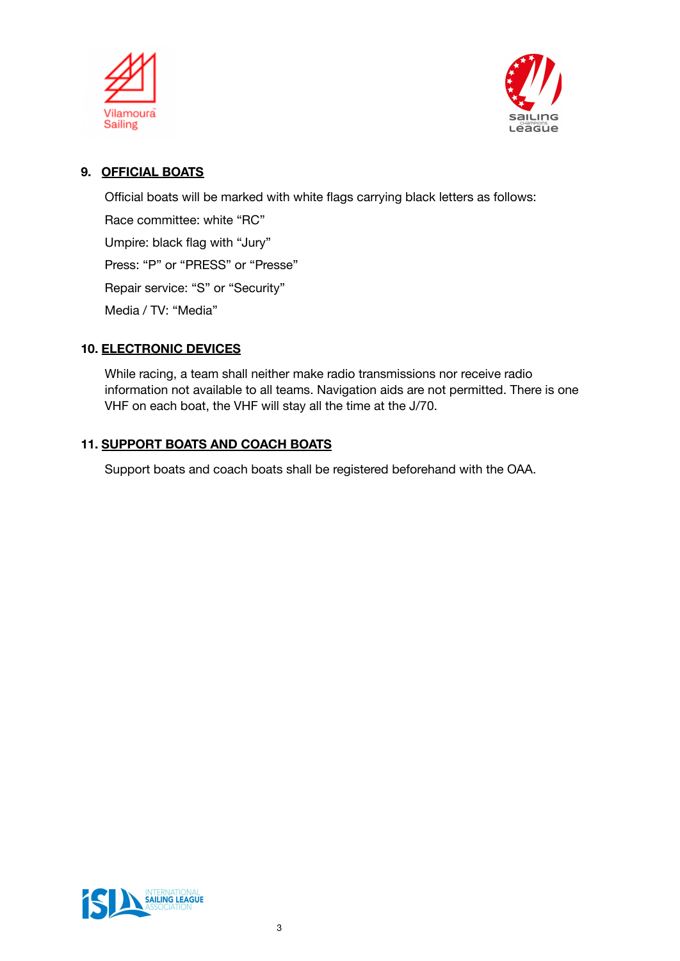



### **9. OFFICIAL BOATS**

Official boats will be marked with white flags carrying black letters as follows: Race committee: white "RC" Umpire: black flag with "Jury" Press: "P" or "PRESS" or "Presse" Repair service: "S" or "Security" Media / TV: "Media"

#### **10. ELECTRONIC DEVICES**

While racing, a team shall neither make radio transmissions nor receive radio information not available to all teams. Navigation aids are not permitted. There is one VHF on each boat, the VHF will stay all the time at the J/70.

#### **11. SUPPORT BOATS AND COACH BOATS**

Support boats and coach boats shall be registered beforehand with the OAA.